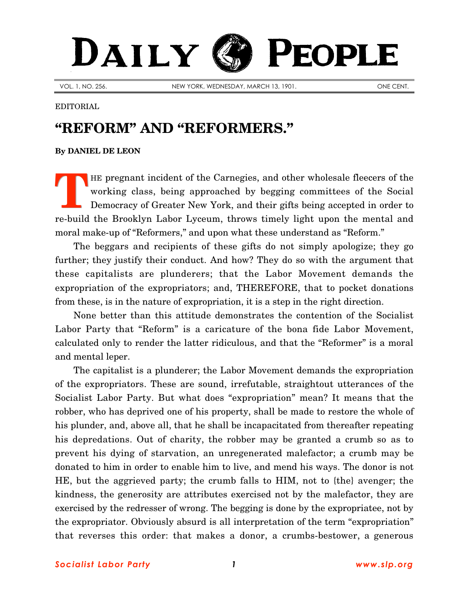## DAILY PEOPLE

VOL. 1, NO. 256. NEW YORK, WEDNESDAY, MARCH 13, 1901. ONE CENT.

## EDITORIAL

## **"REFORM" AND "REFORMERS."**

## **By [DANIEL DE LEON](http://www.slp.org/De_Leon.htm)**

HE pregnant incident of the Carnegies, and other wholesale fleecers of the working class, being approached by begging committees of the Social Democracy of Greater New York, and their gifts being accepted in order to re-build the Brooklyn Labor Lyceum, throws timely light upon the mental and moral make-up of "Reformers," and upon what these understand as "Reform." **T**

The beggars and recipients of these gifts do not simply apologize; they go further; they justify their conduct. And how? They do so with the argument that these capitalists are plunderers; that the Labor Movement demands the expropriation of the expropriators; and, THEREFORE, that to pocket donations from these, is in the nature of expropriation, it is a step in the right direction.

None better than this attitude demonstrates the contention of the Socialist Labor Party that "Reform" is a caricature of the bona fide Labor Movement, calculated only to render the latter ridiculous, and that the "Reformer" is a moral and mental leper.

The capitalist is a plunderer; the Labor Movement demands the expropriation of the expropriators. These are sound, irrefutable, straightout utterances of the Socialist Labor Party. But what does "expropriation" mean? It means that the robber, who has deprived one of his property, shall be made to restore the whole of his plunder, and, above all, that he shall be incapacitated from thereafter repeating his depredations. Out of charity, the robber may be granted a crumb so as to prevent his dying of starvation, an unregenerated malefactor; a crumb may be donated to him in order to enable him to live, and mend his ways. The donor is not HE, but the aggrieved party; the crumb falls to HIM, not to {the} avenger; the kindness, the generosity are attributes exercised not by the malefactor, they are exercised by the redresser of wrong. The begging is done by the expropriatee, not by the expropriator. Obviously absurd is all interpretation of the term "expropriation" that reverses this order: that makes a donor, a crumbs-bestower, a generous